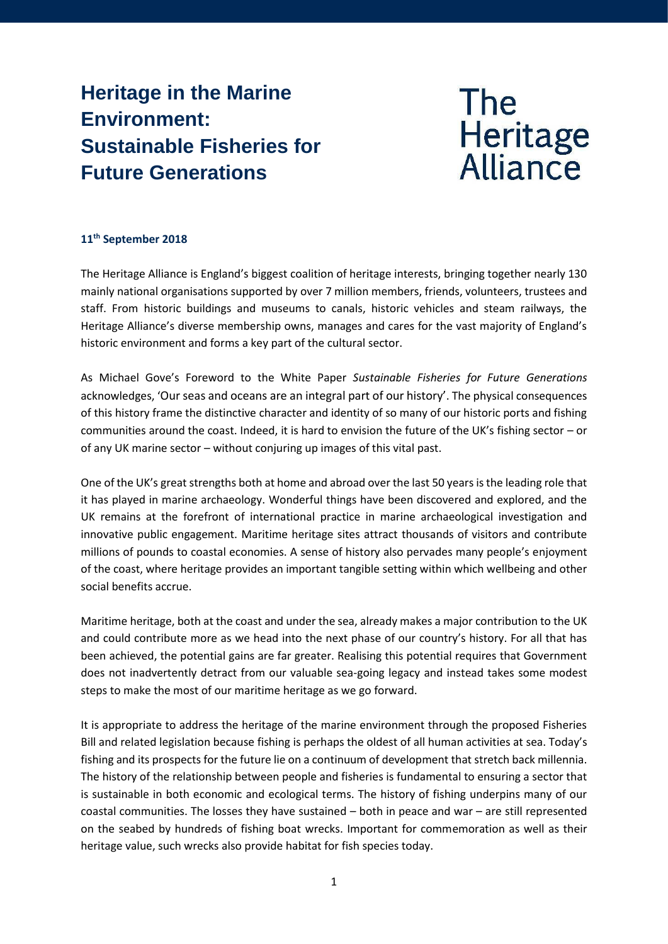# **Heritage in the Marine Environment: Sustainable Fisheries for Future Generations**

# **The** Heritage<br>Alliance

## **11th September 2018**

The Heritage Alliance is England's biggest coalition of heritage interests, bringing together nearly 130 mainly national organisations supported by over 7 million members, friends, volunteers, trustees and staff. From historic buildings and museums to canals, historic vehicles and steam railways, the Heritage Alliance's diverse membership owns, manages and cares for the vast majority of England's historic environment and forms a key part of the cultural sector.

As Michael Gove's Foreword to the White Paper *Sustainable Fisheries for Future Generations* acknowledges, 'Our seas and oceans are an integral part of our history'. The physical consequences of this history frame the distinctive character and identity of so many of our historic ports and fishing communities around the coast. Indeed, it is hard to envision the future of the UK's fishing sector – or of any UK marine sector – without conjuring up images of this vital past.

One of the UK's great strengths both at home and abroad over the last 50 years is the leading role that it has played in marine archaeology. Wonderful things have been discovered and explored, and the UK remains at the forefront of international practice in marine archaeological investigation and innovative public engagement. Maritime heritage sites attract thousands of visitors and contribute millions of pounds to coastal economies. A sense of history also pervades many people's enjoyment of the coast, where heritage provides an important tangible setting within which wellbeing and other social benefits accrue.

Maritime heritage, both at the coast and under the sea, already makes a major contribution to the UK and could contribute more as we head into the next phase of our country's history. For all that has been achieved, the potential gains are far greater. Realising this potential requires that Government does not inadvertently detract from our valuable sea-going legacy and instead takes some modest steps to make the most of our maritime heritage as we go forward.

It is appropriate to address the heritage of the marine environment through the proposed Fisheries Bill and related legislation because fishing is perhaps the oldest of all human activities at sea. Today's fishing and its prospects for the future lie on a continuum of development that stretch back millennia. The history of the relationship between people and fisheries is fundamental to ensuring a sector that is sustainable in both economic and ecological terms. The history of fishing underpins many of our coastal communities. The losses they have sustained – both in peace and war – are still represented on the seabed by hundreds of fishing boat wrecks. Important for commemoration as well as their heritage value, such wrecks also provide habitat for fish species today.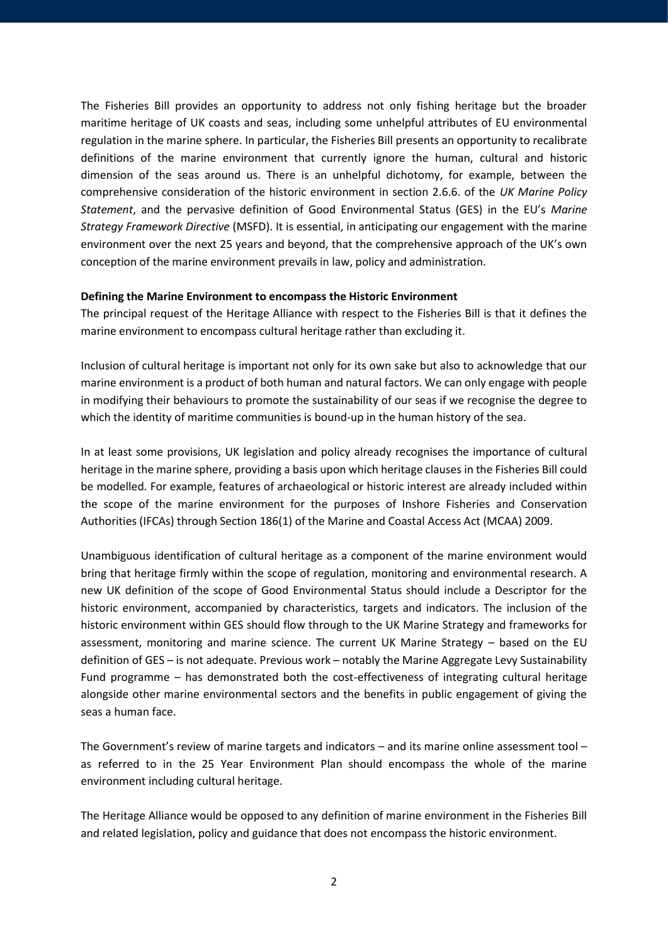The Fisheries Bill provides an opportunity to address not only fishing heritage but the broader maritime heritage of UK coasts and seas, including some unhelpful attributes of EU environmental regulation in the marine sphere. In particular, the Fisheries Bill presents an opportunity to recalibrate definitions of the marine environment that currently ignore the human, cultural and historic dimension of the seas around us. There is an unhelpful dichotomy, for example, between the comprehensive consideration of the historic environment in section 2.6.6. of the *UK Marine Policy Statement*, and the pervasive definition of Good Environmental Status (GES) in the EU's *Marine Strategy Framework Directive* (MSFD). It is essential, in anticipating our engagement with the marine environment over the next 25 years and beyond, that the comprehensive approach of the UK's own conception of the marine environment prevails in law, policy and administration.

#### **Defining the Marine Environment to encompass the Historic Environment**

The principal request of the Heritage Alliance with respect to the Fisheries Bill is that it defines the marine environment to encompass cultural heritage rather than excluding it.

Inclusion of cultural heritage is important not only for its own sake but also to acknowledge that our marine environment is a product of both human and natural factors. We can only engage with people in modifying their behaviours to promote the sustainability of our seas if we recognise the degree to which the identity of maritime communities is bound-up in the human history of the sea.

In at least some provisions, UK legislation and policy already recognises the importance of cultural heritage in the marine sphere, providing a basis upon which heritage clauses in the Fisheries Bill could be modelled. For example, features of archaeological or historic interest are already included within the scope of the marine environment for the purposes of Inshore Fisheries and Conservation Authorities (IFCAs) through Section 186(1) of the Marine and Coastal Access Act (MCAA) 2009.

Unambiguous identification of cultural heritage as a component of the marine environment would bring that heritage firmly within the scope of regulation, monitoring and environmental research. A new UK definition of the scope of Good Environmental Status should include a Descriptor for the historic environment, accompanied by characteristics, targets and indicators. The inclusion of the historic environment within GES should flow through to the UK Marine Strategy and frameworks for assessment, monitoring and marine science. The current UK Marine Strategy – based on the EU definition of GES – is not adequate. Previous work – notably the Marine Aggregate Levy Sustainability Fund programme – has demonstrated both the cost-effectiveness of integrating cultural heritage alongside other marine environmental sectors and the benefits in public engagement of giving the seas a human face.

The Government's review of marine targets and indicators – and its marine online assessment tool – as referred to in the 25 Year Environment Plan should encompass the whole of the marine environment including cultural heritage.

The Heritage Alliance would be opposed to any definition of marine environment in the Fisheries Bill and related legislation, policy and guidance that does not encompass the historic environment.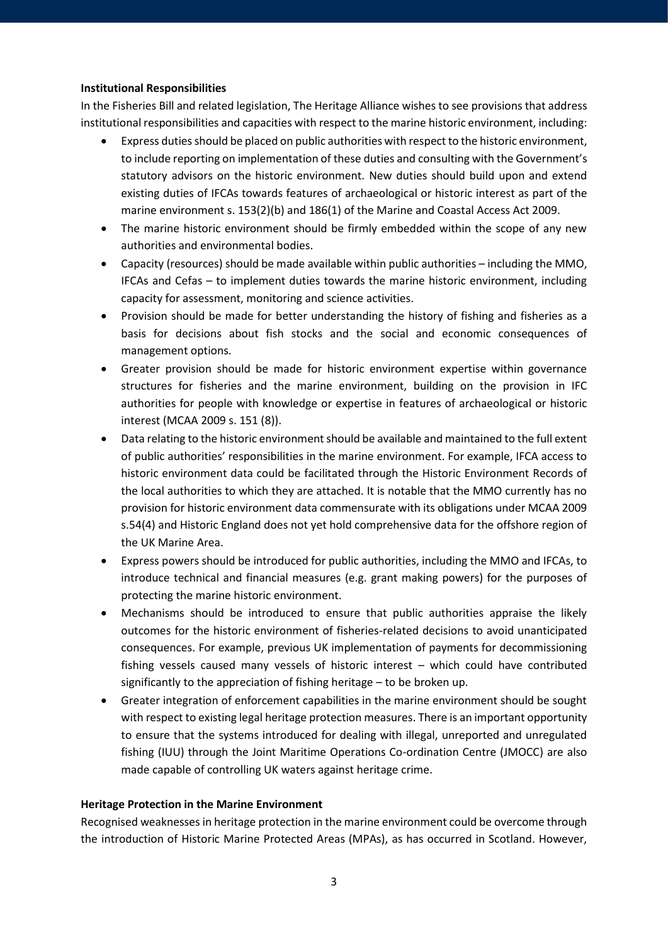#### **Institutional Responsibilities**

In the Fisheries Bill and related legislation, The Heritage Alliance wishes to see provisions that address institutional responsibilities and capacities with respect to the marine historic environment, including:

- Express duties should be placed on public authorities with respect to the historic environment, to include reporting on implementation of these duties and consulting with the Government's statutory advisors on the historic environment. New duties should build upon and extend existing duties of IFCAs towards features of archaeological or historic interest as part of the marine environment s. 153(2)(b) and 186(1) of the Marine and Coastal Access Act 2009.
- The marine historic environment should be firmly embedded within the scope of any new authorities and environmental bodies.
- Capacity (resources) should be made available within public authorities including the MMO, IFCAs and Cefas – to implement duties towards the marine historic environment, including capacity for assessment, monitoring and science activities.
- Provision should be made for better understanding the history of fishing and fisheries as a basis for decisions about fish stocks and the social and economic consequences of management options.
- Greater provision should be made for historic environment expertise within governance structures for fisheries and the marine environment, building on the provision in IFC authorities for people with knowledge or expertise in features of archaeological or historic interest (MCAA 2009 s. 151 (8)).
- Data relating to the historic environment should be available and maintained to the full extent of public authorities' responsibilities in the marine environment. For example, IFCA access to historic environment data could be facilitated through the Historic Environment Records of the local authorities to which they are attached. It is notable that the MMO currently has no provision for historic environment data commensurate with its obligations under MCAA 2009 s.54(4) and Historic England does not yet hold comprehensive data for the offshore region of the UK Marine Area.
- Express powers should be introduced for public authorities, including the MMO and IFCAs, to introduce technical and financial measures (e.g. grant making powers) for the purposes of protecting the marine historic environment.
- Mechanisms should be introduced to ensure that public authorities appraise the likely outcomes for the historic environment of fisheries-related decisions to avoid unanticipated consequences. For example, previous UK implementation of payments for decommissioning fishing vessels caused many vessels of historic interest – which could have contributed significantly to the appreciation of fishing heritage – to be broken up.
- Greater integration of enforcement capabilities in the marine environment should be sought with respect to existing legal heritage protection measures. There is an important opportunity to ensure that the systems introduced for dealing with illegal, unreported and unregulated fishing (IUU) through the Joint Maritime Operations Co-ordination Centre (JMOCC) are also made capable of controlling UK waters against heritage crime.

#### **Heritage Protection in the Marine Environment**

Recognised weaknesses in heritage protection in the marine environment could be overcome through the introduction of Historic Marine Protected Areas (MPAs), as has occurred in Scotland. However,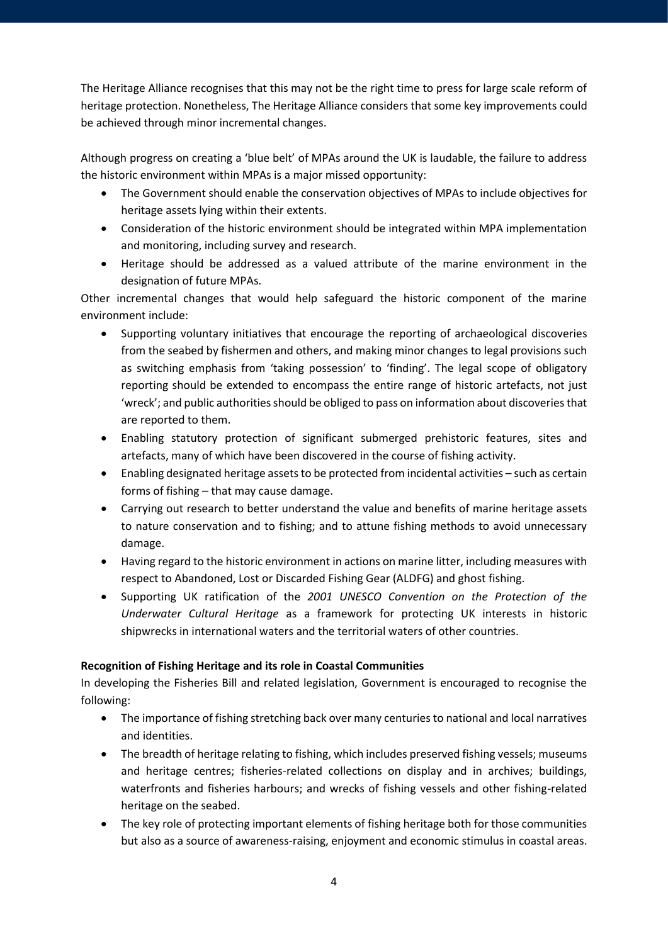The Heritage Alliance recognises that this may not be the right time to press for large scale reform of heritage protection. Nonetheless, The Heritage Alliance considers that some key improvements could be achieved through minor incremental changes.

Although progress on creating a 'blue belt' of MPAs around the UK is laudable, the failure to address the historic environment within MPAs is a major missed opportunity:

- The Government should enable the conservation objectives of MPAs to include objectives for heritage assets lying within their extents.
- Consideration of the historic environment should be integrated within MPA implementation and monitoring, including survey and research.
- Heritage should be addressed as a valued attribute of the marine environment in the designation of future MPAs.

Other incremental changes that would help safeguard the historic component of the marine environment include:

- Supporting voluntary initiatives that encourage the reporting of archaeological discoveries from the seabed by fishermen and others, and making minor changes to legal provisions such as switching emphasis from 'taking possession' to 'finding'. The legal scope of obligatory reporting should be extended to encompass the entire range of historic artefacts, not just 'wreck'; and public authorities should be obliged to pass on information about discoveries that are reported to them.
- Enabling statutory protection of significant submerged prehistoric features, sites and artefacts, many of which have been discovered in the course of fishing activity.
- Enabling designated heritage assets to be protected from incidental activities such as certain forms of fishing – that may cause damage.
- Carrying out research to better understand the value and benefits of marine heritage assets to nature conservation and to fishing; and to attune fishing methods to avoid unnecessary damage.
- Having regard to the historic environment in actions on marine litter, including measures with respect to Abandoned, Lost or Discarded Fishing Gear (ALDFG) and ghost fishing.
- Supporting UK ratification of the *2001 UNESCO Convention on the Protection of the Underwater Cultural Heritage* as a framework for protecting UK interests in historic shipwrecks in international waters and the territorial waters of other countries.

### **Recognition of Fishing Heritage and its role in Coastal Communities**

In developing the Fisheries Bill and related legislation, Government is encouraged to recognise the following:

- The importance of fishing stretching back over many centuries to national and local narratives and identities.
- The breadth of heritage relating to fishing, which includes preserved fishing vessels; museums and heritage centres; fisheries-related collections on display and in archives; buildings, waterfronts and fisheries harbours; and wrecks of fishing vessels and other fishing-related heritage on the seabed.
- The key role of protecting important elements of fishing heritage both for those communities but also as a source of awareness-raising, enjoyment and economic stimulus in coastal areas.